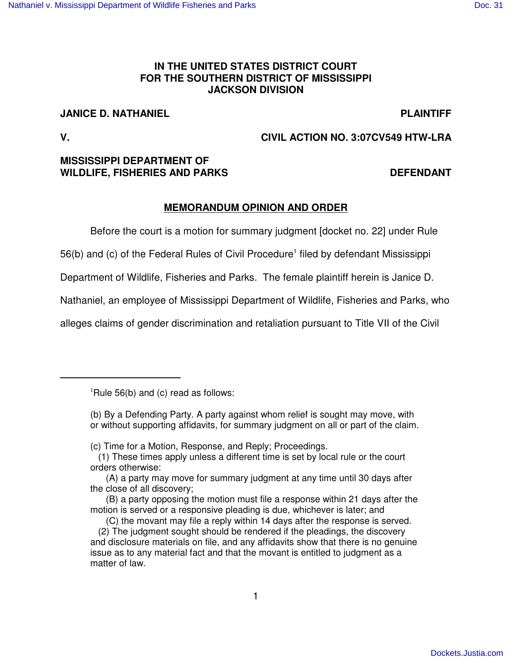# **IN THE UNITED STATES DISTRICT COURT FOR THE SOUTHERN DISTRICT OF MISSISSIPPI JACKSON DIVISION**

# **JANICE D. NATHANIEL PLAINTIFF**

**V. CIVIL ACTION NO. 3:07CV549 HTW-LRA**

# **MISSISSIPPI DEPARTMENT OF WILDLIFE, FISHERIES AND PARKS DEFENDANT**

# **MEMORANDUM OPINION AND ORDER**

Before the court is a motion for summary judgment [docket no. 22] under Rule

56(b) and (c) of the Federal Rules of Civil Procedure 1 filed by defendant Mississippi

Department of Wildlife, Fisheries and Parks. The female plaintiff herein is Janice D.

Nathaniel, an employee of Mississippi Department of Wildlife, Fisheries and Parks, who

alleges claims of gender discrimination and retaliation pursuant to Title VII of the Civil

(b) By a Defending Party. A party against whom relief is sought may move, with or without supporting affidavits, for summary judgment on all or part of the claim.

(c) Time for a Motion, Response, and Reply; Proceedings.

- (1) These times apply unless a different time is set by local rule or the court orders otherwise:
- (A) a party may move for summary judgment at any time until 30 days after the close of all discovery;

 ${}^{1}$ Rule 56(b) and (c) read as follows:

<sup>(</sup>B) a party opposing the motion must file a response within 21 days after the motion is served or a responsive pleading is due, whichever is later; and

<sup>(</sup>C) the movant may file a reply within 14 days after the response is served.

<sup>(2)</sup> The judgment sought should be rendered if the pleadings, the discovery and disclosure materials on file, and any affidavits show that there is no genuine issue as to any material fact and that the movant is entitled to judgment as a matter of law.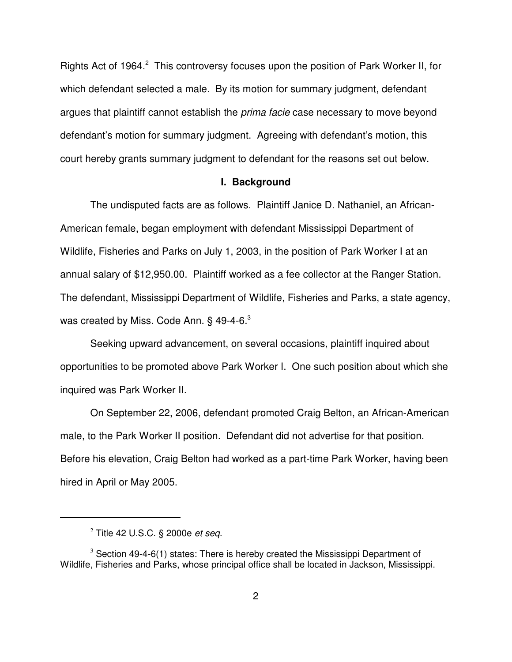Rights Act of 1964.<sup>2</sup> This controversy focuses upon the position of Park Worker II, for which defendant selected a male. By its motion for summary judgment, defendant argues that plaintiff cannot establish the *prima facie* case necessary to move beyond defendant's motion for summary judgment. Agreeing with defendant's motion, this court hereby grants summary judgment to defendant for the reasons set out below.

#### **I. Background**

The undisputed facts are as follows. Plaintiff Janice D. Nathaniel, an African-American female, began employment with defendant Mississippi Department of Wildlife, Fisheries and Parks on July 1, 2003, in the position of Park Worker I at an annual salary of \$12,950.00. Plaintiff worked as a fee collector at the Ranger Station. The defendant, Mississippi Department of Wildlife, Fisheries and Parks, a state agency, was created by Miss. Code Ann.  $\S$  49-4-6. $^3$ 

Seeking upward advancement, on several occasions, plaintiff inquired about opportunities to be promoted above Park Worker I. One such position about which she inquired was Park Worker II.

On September 22, 2006, defendant promoted Craig Belton, an African-American male, to the Park Worker II position. Defendant did not advertise for that position. Before his elevation, Craig Belton had worked as a part-time Park Worker, having been hired in April or May 2005.

<sup>2</sup> Title 42 U.S.C. § 2000e *et seq.*

 $3$  Section 49-4-6(1) states: There is hereby created the Mississippi Department of Wildlife, Fisheries and Parks, whose principal office shall be located in Jackson, Mississippi.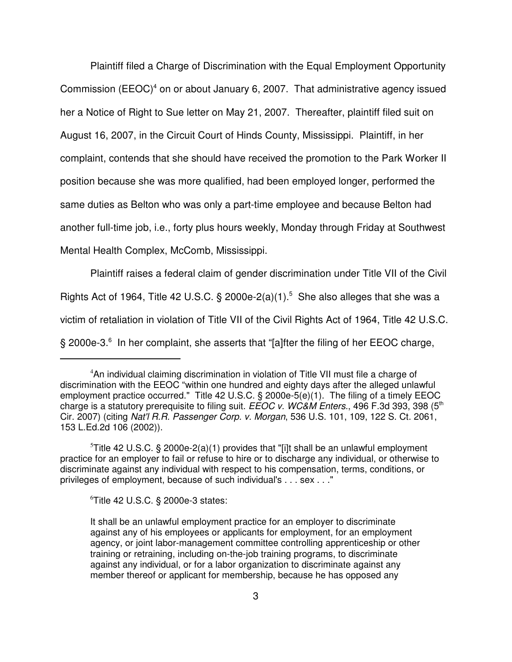Plaintiff filed a Charge of Discrimination with the Equal Employment Opportunity Commission (EEOC)<sup>4</sup> on or about January 6, 2007. That administrative agency issued her a Notice of Right to Sue letter on May 21, 2007. Thereafter, plaintiff filed suit on August 16, 2007, in the Circuit Court of Hinds County, Mississippi. Plaintiff, in her complaint, contends that she should have received the promotion to the Park Worker II position because she was more qualified, had been employed longer, performed the same duties as Belton who was only a part-time employee and because Belton had another full-time job, i.e., forty plus hours weekly, Monday through Friday at Southwest Mental Health Complex, McComb, Mississippi.

Plaintiff raises a federal claim of gender discrimination under Title VII of the Civil Rights Act of 1964, Title 42 U.S.C.  $\S$  2000e-2(a)(1).<sup>5</sup> She also alleges that she was a victim of retaliation in violation of Title VII of the Civil Rights Act of 1964, Title 42 U.S.C. § 2000e-3.<sup>6</sup> In her complaint, she asserts that "[a]fter the filing of her EEOC charge,

<sup>6</sup>Title 42 U.S.C. § 2000e-3 states:

<sup>&</sup>lt;sup>4</sup>An individual claiming discrimination in violation of Title VII must file a charge of discrimination with the EEOC "within one hundred and eighty days after the alleged unlawful employment practice occurred." Title 42 U.S.C. § 2000e-5(e)(1). The filing of a timely EEOC charge is a statutory prerequisite to filing suit. *EEOC v. WC&M Enters.*, 496 F.3d 393, 398 (5 th Cir. 2007) (citing *Nat'l R.R. Passenger Corp. v. Morgan*, 536 U.S. 101, 109, 122 S. Ct. 2061, 153 L.Ed.2d 106 (2002)).

<sup>&</sup>lt;sup>5</sup>Title 42 U.S.C. § 2000e-2(a)(1) provides that "[i]t shall be an unlawful employment practice for an employer to fail or refuse to hire or to discharge any individual, or otherwise to discriminate against any individual with respect to his compensation, terms, conditions, or privileges of employment, because of such individual's . . . sex . . ."

It shall be an unlawful employment practice for an employer to discriminate against any of his employees or applicants for employment, for an employment agency, or joint labor-management committee controlling apprenticeship or other training or retraining, including on-the-job training programs, to discriminate against any individual, or for a labor organization to discriminate against any member thereof or applicant for membership, because he has opposed any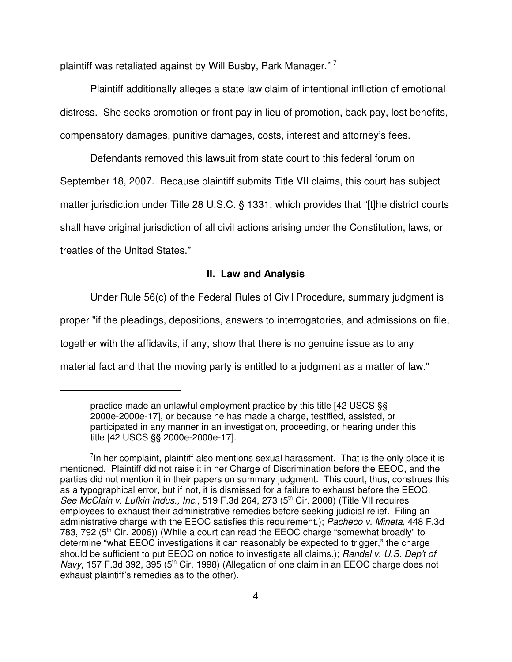plaintiff was retaliated against by Will Busby, Park Manager."<sup>7</sup>

Plaintiff additionally alleges a state law claim of intentional infliction of emotional distress. She seeks promotion or front pay in lieu of promotion, back pay, lost benefits, compensatory damages, punitive damages, costs, interest and attorney's fees.

Defendants removed this lawsuit from state court to this federal forum on September 18, 2007. Because plaintiff submits Title VII claims, this court has subject matter jurisdiction under Title 28 U.S.C. § 1331, which provides that "[t]he district courts shall have original jurisdiction of all civil actions arising under the Constitution, laws, or treaties of the United States."

# **II. Law and Analysis**

Under Rule 56(c) of the Federal Rules of Civil Procedure, summary judgment is

proper "if the pleadings, depositions, answers to interrogatories, and admissions on file,

together with the affidavits, if any, show that there is no genuine issue as to any

material fact and that the moving party is entitled to a judgment as a matter of law."

practice made an unlawful employment practice by this title [42 USCS §§ 2000e-2000e-17], or because he has made a charge, testified, assisted, or participated in any manner in an investigation, proceeding, or hearing under this title [42 USCS §§ 2000e-2000e-17].

 $7$ In her complaint, plaintiff also mentions sexual harassment. That is the only place it is mentioned. Plaintiff did not raise it in her Charge of Discrimination before the EEOC, and the parties did not mention it in their papers on summary judgment. This court, thus, construes this as a typographical error, but if not, it is dismissed for a failure to exhaust before the EEOC. *See McClain v. Lufkin Indus., Inc.,* 519 F.3d 264, 273 (5 th Cir. 2008) (Title VII requires employees to exhaust their administrative remedies before seeking judicial relief. Filing an administrative charge with the EEOC satisfies this requirement.); *Pacheco v. Mineta*, 448 F.3d 783, 792 (5<sup>th</sup> Cir. 2006)) (While a court can read the EEOC charge "somewhat broadly" to determine "what EEOC investigations it can reasonably be expected to trigger," the charge should be sufficient to put EEOC on notice to investigate all claims.); *Randel v. U.S. Dep't of* Navy, 157 F.3d 392, 395 (5<sup>th</sup> Cir. 1998) (Allegation of one claim in an EEOC charge does not exhaust plaintiff's remedies as to the other).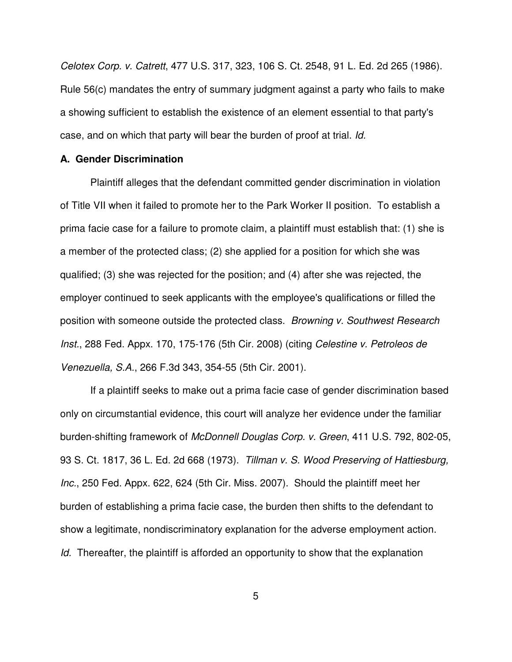*Celotex Corp. v. Catrett*, 477 U.S. 317, 323, 106 S. Ct. 2548, 91 L. Ed. 2d 265 (1986). Rule 56(c) mandates the entry of summary judgment against a party who fails to make a showing sufficient to establish the existence of an element essential to that party's case, and on which that party will bear the burden of proof at trial. *Id.*

# **A. Gender Discrimination**

Plaintiff alleges that the defendant committed gender discrimination in violation of Title VII when it failed to promote her to the Park Worker II position. To establish a prima facie case for a failure to promote claim, a plaintiff must establish that: (1) she is a member of the protected class; (2) she applied for a position for which she was qualified; (3) she was rejected for the position; and (4) after she was rejected, the employer continued to seek applicants with the employee's qualifications or filled the position with someone outside the protected class. *Browning v. Southwest Research Inst.*, 288 Fed. Appx. 170, 175-176 (5th Cir. 2008) (citing *Celestine v. Petroleos de Venezuella, S.A.*, 266 F.3d 343, 354-55 (5th Cir. 2001).

If a plaintiff seeks to make out a prima facie case of gender discrimination based only on circumstantial evidence, this court will analyze her evidence under the familiar burden-shifting framework of *McDonnell Douglas Corp. v. Green*, 411 U.S. 792, 802-05, 93 S. Ct. 1817, 36 L. Ed. 2d 668 (1973). *Tillman v. S. Wood Preserving of Hattiesburg, Inc.*, 250 Fed. Appx. 622, 624 (5th Cir. Miss. 2007). Should the plaintiff meet her burden of establishing a prima facie case, the burden then shifts to the defendant to show a legitimate, nondiscriminatory explanation for the adverse employment action. *Id.* Thereafter, the plaintiff is afforded an opportunity to show that the explanation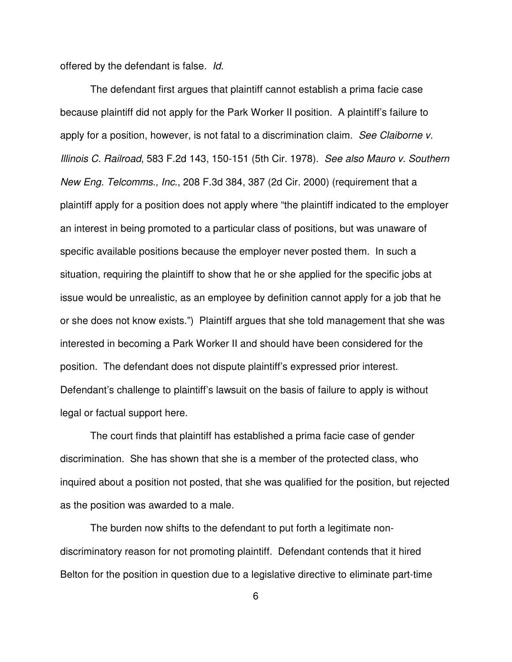offered by the defendant is false. *Id.*

The defendant first argues that plaintiff cannot establish a prima facie case because plaintiff did not apply for the Park Worker II position. A plaintiff's failure to apply for a position, however, is not fatal to a discrimination claim. *See Claiborne v. Illinois C. Railroad*, 583 F.2d 143, 150-151 (5th Cir. 1978). *See also Mauro v. Southern New Eng. Telcomms., Inc.*, 208 F.3d 384, 387 (2d Cir. 2000) (requirement that a plaintiff apply for a position does not apply where "the plaintiff indicated to the employer an interest in being promoted to a particular class of positions, but was unaware of specific available positions because the employer never posted them. In such a situation, requiring the plaintiff to show that he or she applied for the specific jobs at issue would be unrealistic, as an employee by definition cannot apply for a job that he or she does not know exists.") Plaintiff argues that she told management that she was interested in becoming a Park Worker II and should have been considered for the position. The defendant does not dispute plaintiff's expressed prior interest. Defendant's challenge to plaintiff's lawsuit on the basis of failure to apply is without legal or factual support here.

The court finds that plaintiff has established a prima facie case of gender discrimination. She has shown that she is a member of the protected class, who inquired about a position not posted, that she was qualified for the position, but rejected as the position was awarded to a male.

The burden now shifts to the defendant to put forth a legitimate nondiscriminatory reason for not promoting plaintiff. Defendant contends that it hired Belton for the position in question due to a legislative directive to eliminate part-time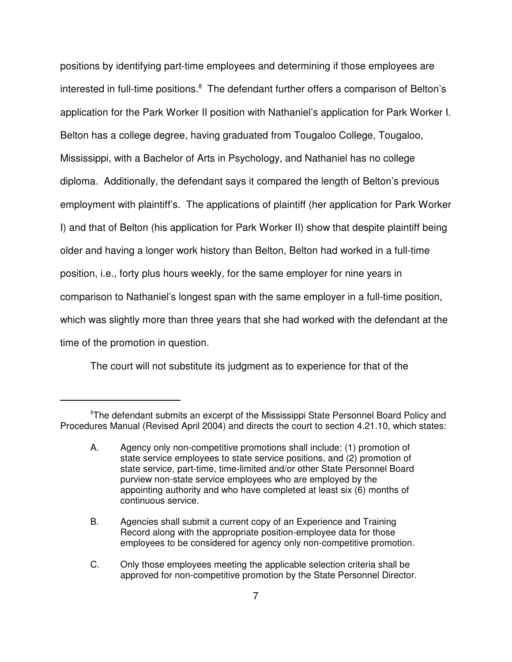positions by identifying part-time employees and determining if those employees are interested in full-time positions.<sup>8</sup> The defendant further offers a comparison of Belton's application for the Park Worker II position with Nathaniel's application for Park Worker I. Belton has a college degree, having graduated from Tougaloo College, Tougaloo, Mississippi, with a Bachelor of Arts in Psychology, and Nathaniel has no college diploma. Additionally, the defendant says it compared the length of Belton's previous employment with plaintiff's. The applications of plaintiff (her application for Park Worker I) and that of Belton (his application for Park Worker II) show that despite plaintiff being older and having a longer work history than Belton, Belton had worked in a full-time position, i.e., forty plus hours weekly, for the same employer for nine years in comparison to Nathaniel's longest span with the same employer in a full-time position, which was slightly more than three years that she had worked with the defendant at the time of the promotion in question.

The court will not substitute its judgment as to experience for that of the

<sup>&</sup>lt;sup>8</sup>The defendant submits an excerpt of the Mississippi State Personnel Board Policy and Procedures Manual (Revised April 2004) and directs the court to section 4.21.10, which states:

A. Agency only non-competitive promotions shall include: (1) promotion of state service employees to state service positions, and (2) promotion of state service, part-time, time-limited and/or other State Personnel Board purview non-state service employees who are employed by the appointing authority and who have completed at least six (6) months of continuous service.

B. Agencies shall submit a current copy of an Experience and Training Record along with the appropriate position-employee data for those employees to be considered for agency only non-competitive promotion.

C. Only those employees meeting the applicable selection criteria shall be approved for non-competitive promotion by the State Personnel Director.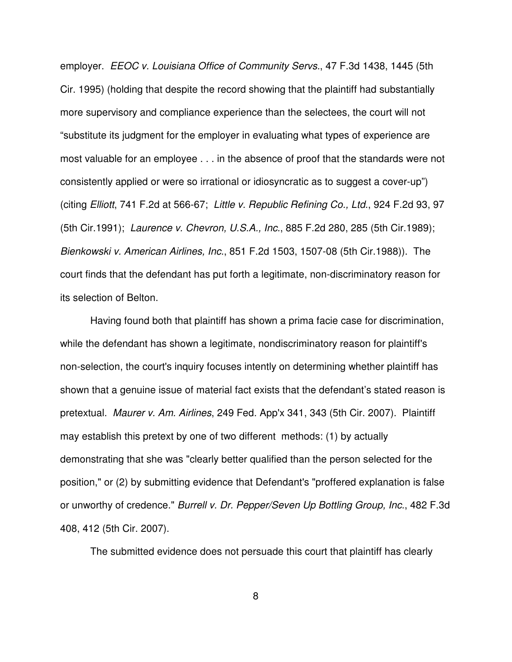employer. *EEOC v. Louisiana Office of Community Servs.*, 47 F.3d 1438, 1445 (5th Cir. 1995) (holding that despite the record showing that the plaintiff had substantially more supervisory and compliance experience than the selectees, the court will not "substitute its judgment for the employer in evaluating what types of experience are most valuable for an employee . . . in the absence of proof that the standards were not consistently applied or were so irrational or idiosyncratic as to suggest a cover-up") (citing *Elliott*, 741 F.2d at 566-67; *Little v. Republic Refining Co., Ltd.*, 924 F.2d 93, 97 (5th Cir.1991); *Laurence v. Chevron, U.S.A., Inc.*, 885 F.2d 280, 285 (5th Cir.1989); *Bienkowski v. American Airlines, Inc.*, 851 F.2d 1503, 1507-08 (5th Cir.1988)). The court finds that the defendant has put forth a legitimate, non-discriminatory reason for its selection of Belton.

Having found both that plaintiff has shown a prima facie case for discrimination, while the defendant has shown a legitimate, nondiscriminatory reason for plaintiff's non-selection, the court's inquiry focuses intently on determining whether plaintiff has shown that a genuine issue of material fact exists that the defendant's stated reason is pretextual. *Maurer v. Am. Airlines*, 249 Fed. App'x 341, 343 (5th Cir. 2007). Plaintiff may establish this pretext by one of two different methods: (1) by actually demonstrating that she was "clearly better qualified than the person selected for the position," or (2) by submitting evidence that Defendant's "proffered explanation is false or unworthy of credence." *Burrell v. Dr. Pepper/Seven Up Bottling Group, Inc.*, 482 F.3d 408, 412 (5th Cir. 2007).

The submitted evidence does not persuade this court that plaintiff has clearly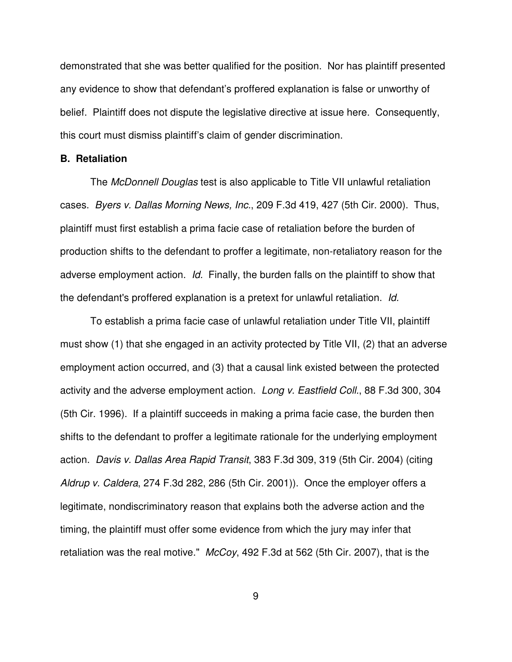demonstrated that she was better qualified for the position. Nor has plaintiff presented any evidence to show that defendant's proffered explanation is false or unworthy of belief. Plaintiff does not dispute the legislative directive at issue here. Consequently, this court must dismiss plaintiff's claim of gender discrimination.

#### **B. Retaliation**

The *McDonnell Douglas* test is also applicable to Title VII unlawful retaliation cases. *Byers v. Dallas Morning News, Inc.*, 209 F.3d 419, 427 (5th Cir. 2000). Thus, plaintiff must first establish a prima facie case of retaliation before the burden of production shifts to the defendant to proffer a legitimate, non-retaliatory reason for the adverse employment action. *Id.* Finally, the burden falls on the plaintiff to show that the defendant's proffered explanation is a pretext for unlawful retaliation. *Id.*

To establish a prima facie case of unlawful retaliation under Title VII, plaintiff must show (1) that she engaged in an activity protected by Title VII, (2) that an adverse employment action occurred, and (3) that a causal link existed between the protected activity and the adverse employment action. *Long v. Eastfield Coll.*, 88 F.3d 300, 304 (5th Cir. 1996). If a plaintiff succeeds in making a prima facie case, the burden then shifts to the defendant to proffer a legitimate rationale for the underlying employment action. *Davis v. Dallas Area Rapid Transit*, 383 F.3d 309, 319 (5th Cir. 2004) (citing *Aldrup v. Caldera*, 274 F.3d 282, 286 (5th Cir. 2001)). Once the employer offers a legitimate, nondiscriminatory reason that explains both the adverse action and the timing, the plaintiff must offer some evidence from which the jury may infer that retaliation was the real motive." *McCoy*, 492 F.3d at 562 (5th Cir. 2007), that is the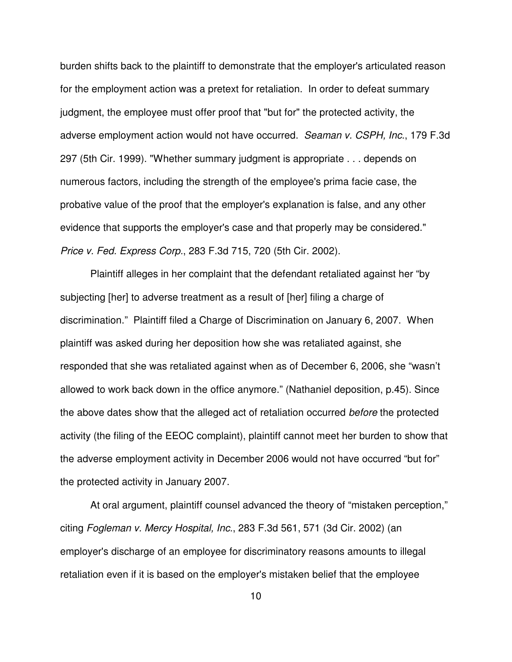burden shifts back to the plaintiff to demonstrate that the employer's articulated reason for the employment action was a pretext for retaliation. In order to defeat summary judgment, the employee must offer proof that "but for" the protected activity, the adverse employment action would not have occurred. *Seaman v. CSPH, Inc.*, 179 F.3d 297 (5th Cir. 1999). "Whether summary judgment is appropriate . . . depends on numerous factors, including the strength of the employee's prima facie case, the probative value of the proof that the employer's explanation is false, and any other evidence that supports the employer's case and that properly may be considered." *Price v. Fed. Express Corp.*, 283 F.3d 715, 720 (5th Cir. 2002).

Plaintiff alleges in her complaint that the defendant retaliated against her "by subjecting [her] to adverse treatment as a result of [her] filing a charge of discrimination." Plaintiff filed a Charge of Discrimination on January 6, 2007. When plaintiff was asked during her deposition how she was retaliated against, she responded that she was retaliated against when as of December 6, 2006, she "wasn't allowed to work back down in the office anymore." (Nathaniel deposition, p.45). Since the above dates show that the alleged act of retaliation occurred *before* the protected activity (the filing of the EEOC complaint), plaintiff cannot meet her burden to show that the adverse employment activity in December 2006 would not have occurred "but for" the protected activity in January 2007.

At oral argument, plaintiff counsel advanced the theory of "mistaken perception," citing *Fogleman v. Mercy Hospital, Inc.*, 283 F.3d 561, 571 (3d Cir. 2002) (an employer's discharge of an employee for discriminatory reasons amounts to illegal retaliation even if it is based on the employer's mistaken belief that the employee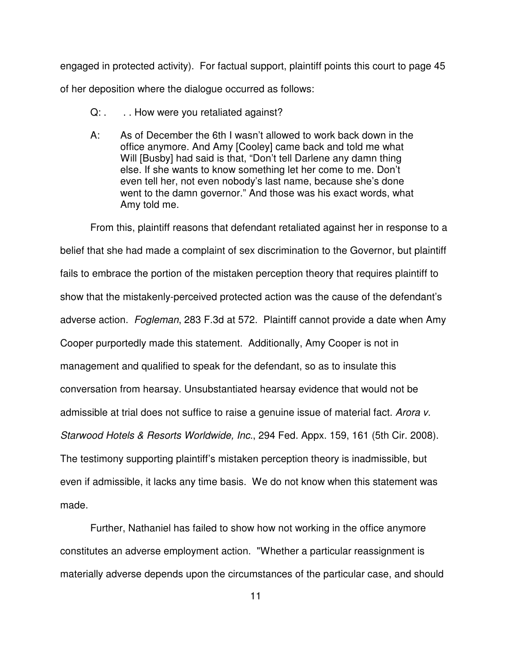engaged in protected activity). For factual support, plaintiff points this court to page 45 of her deposition where the dialogue occurred as follows:

- Q: . . . . How were you retaliated against?
- A: As of December the 6th I wasn't allowed to work back down in the office anymore. And Amy [Cooley] came back and told me what Will [Busby] had said is that, "Don't tell Darlene any damn thing else. If she wants to know something let her come to me. Don't even tell her, not even nobody's last name, because she's done went to the damn governor." And those was his exact words, what Amy told me.

From this, plaintiff reasons that defendant retaliated against her in response to a belief that she had made a complaint of sex discrimination to the Governor, but plaintiff fails to embrace the portion of the mistaken perception theory that requires plaintiff to show that the mistakenly-perceived protected action was the cause of the defendant's adverse action. *Fogleman*, 283 F.3d at 572. Plaintiff cannot provide a date when Amy Cooper purportedly made this statement. Additionally, Amy Cooper is not in management and qualified to speak for the defendant, so as to insulate this conversation from hearsay. Unsubstantiated hearsay evidence that would not be admissible at trial does not suffice to raise a genuine issue of material fact. *Arora v. Starwood Hotels & Resorts Worldwide, Inc.*, 294 Fed. Appx. 159, 161 (5th Cir. 2008). The testimony supporting plaintiff's mistaken perception theory is inadmissible, but even if admissible, it lacks any time basis. We do not know when this statement was made.

Further, Nathaniel has failed to show how not working in the office anymore constitutes an adverse employment action. "Whether a particular reassignment is materially adverse depends upon the circumstances of the particular case, and should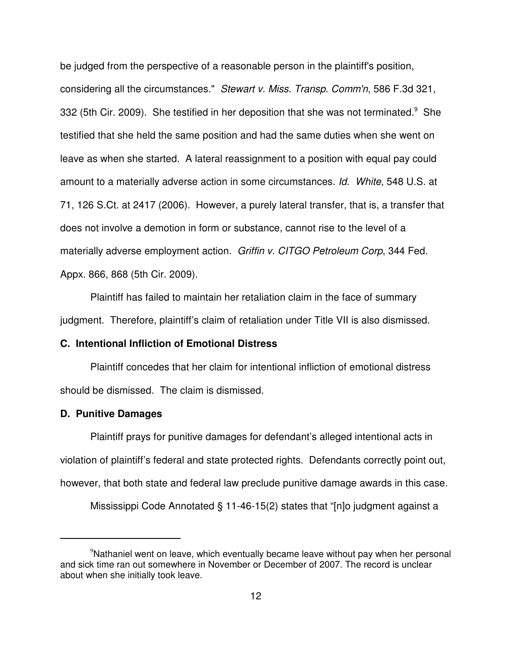be judged from the perspective of a reasonable person in the plaintiff's position, considering all the circumstances." *Stewart v. Miss. Transp. Comm'n*, 586 F.3d 321, 332 (5th Cir. 2009). She testified in her deposition that she was not terminated. $9$  She testified that she held the same position and had the same duties when she went on leave as when she started. A lateral reassignment to a position with equal pay could amount to a materially adverse action in some circumstances. *Id. White*, 548 U.S. at 71, 126 S.Ct. at 2417 (2006). However, a purely lateral transfer, that is, a transfer that does not involve a demotion in form or substance, cannot rise to the level of a materially adverse employment action. *Griffin v. CITGO Petroleum Corp*, 344 Fed. Appx. 866, 868 (5th Cir. 2009).

Plaintiff has failed to maintain her retaliation claim in the face of summary judgment. Therefore, plaintiff's claim of retaliation under Title VII is also dismissed.

## **C. Intentional Infliction of Emotional Distress**

Plaintiff concedes that her claim for intentional infliction of emotional distress should be dismissed. The claim is dismissed.

## **D. Punitive Damages**

Plaintiff prays for punitive damages for defendant's alleged intentional acts in violation of plaintiff's federal and state protected rights. Defendants correctly point out, however, that both state and federal law preclude punitive damage awards in this case.

Mississippi Code Annotated § 11-46-15(2) states that "[n]o judgment against a

<sup>9</sup>Nathaniel went on leave, which eventually became leave without pay when her personal and sick time ran out somewhere in November or December of 2007. The record is unclear about when she initially took leave.